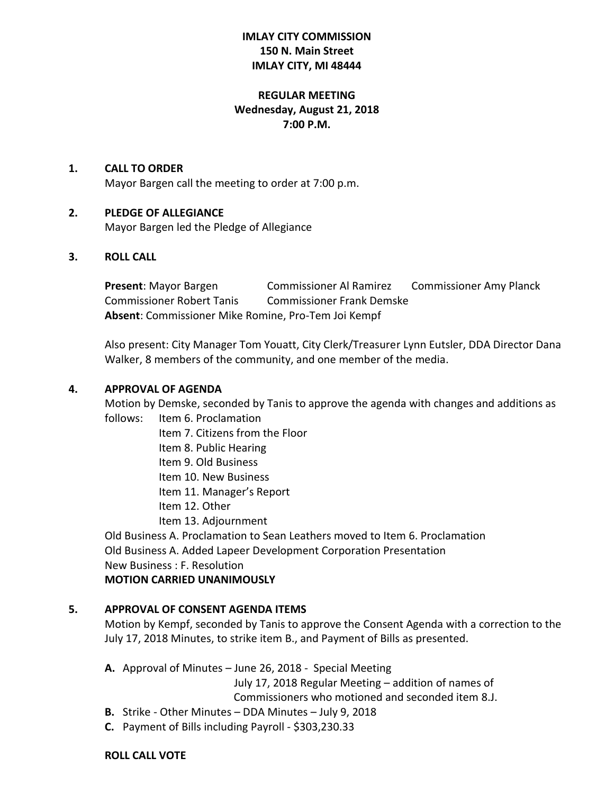# **IMLAY CITY COMMISSION 150 N. Main Street IMLAY CITY, MI 48444**

# **REGULAR MEETING Wednesday, August 21, 2018 7:00 P.M.**

## **1. CALL TO ORDER**

Mayor Bargen call the meeting to order at 7:00 p.m.

## **2. PLEDGE OF ALLEGIANCE**

Mayor Bargen led the Pledge of Allegiance

## **3. ROLL CALL**

**Present:** Mayor Bargen **Commissioner Al Ramirez** Commissioner Amy Planck Commissioner Robert Tanis Commissioner Frank Demske **Absent**: Commissioner Mike Romine, Pro-Tem Joi Kempf

Also present: City Manager Tom Youatt, City Clerk/Treasurer Lynn Eutsler, DDA Director Dana Walker, 8 members of the community, and one member of the media.

## **4. APPROVAL OF AGENDA**

Motion by Demske, seconded by Tanis to approve the agenda with changes and additions as

## follows: Item 6. Proclamation

Item 7. Citizens from the Floor

- Item 8. Public Hearing
- Item 9. Old Business
- Item 10. New Business
- Item 11. Manager's Report
- Item 12. Other
- Item 13. Adjournment

Old Business A. Proclamation to Sean Leathers moved to Item 6. Proclamation Old Business A. Added Lapeer Development Corporation Presentation New Business : F. Resolution

## **MOTION CARRIED UNANIMOUSLY**

## **5. APPROVAL OF CONSENT AGENDA ITEMS**

Motion by Kempf, seconded by Tanis to approve the Consent Agenda with a correction to the July 17, 2018 Minutes, to strike item B., and Payment of Bills as presented.

**A.** Approval of Minutes – June 26, 2018 - Special Meeting

 July 17, 2018 Regular Meeting – addition of names of Commissioners who motioned and seconded item 8.J.

- **B.** Strike Other Minutes DDA Minutes July 9, 2018
- **C.** Payment of Bills including Payroll \$303,230.33

## **ROLL CALL VOTE**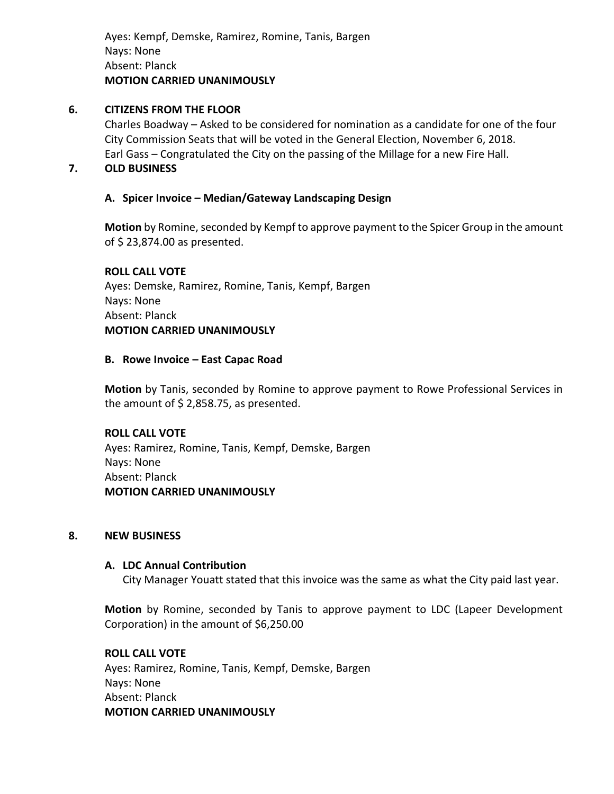Ayes: Kempf, Demske, Ramirez, Romine, Tanis, Bargen Nays: None Absent: Planck **MOTION CARRIED UNANIMOUSLY**

### **6. CITIZENS FROM THE FLOOR**

Charles Boadway – Asked to be considered for nomination as a candidate for one of the four City Commission Seats that will be voted in the General Election, November 6, 2018. Earl Gass – Congratulated the City on the passing of the Millage for a new Fire Hall.

## **7. OLD BUSINESS**

### **A. Spicer Invoice – Median/Gateway Landscaping Design**

**Motion** by Romine, seconded by Kempf to approve payment to the Spicer Group in the amount of \$ 23,874.00 as presented.

# **ROLL CALL VOTE** Ayes: Demske, Ramirez, Romine, Tanis, Kempf, Bargen Nays: None Absent: Planck **MOTION CARRIED UNANIMOUSLY**

### **B. Rowe Invoice – East Capac Road**

**Motion** by Tanis, seconded by Romine to approve payment to Rowe Professional Services in the amount of \$ 2,858.75, as presented.

## **ROLL CALL VOTE**

Ayes: Ramirez, Romine, Tanis, Kempf, Demske, Bargen Nays: None Absent: Planck **MOTION CARRIED UNANIMOUSLY**

### **8. NEW BUSINESS**

### **A. LDC Annual Contribution**

City Manager Youatt stated that this invoice was the same as what the City paid last year.

**Motion** by Romine, seconded by Tanis to approve payment to LDC (Lapeer Development Corporation) in the amount of \$6,250.00

## **ROLL CALL VOTE**

Ayes: Ramirez, Romine, Tanis, Kempf, Demske, Bargen Nays: None Absent: Planck **MOTION CARRIED UNANIMOUSLY**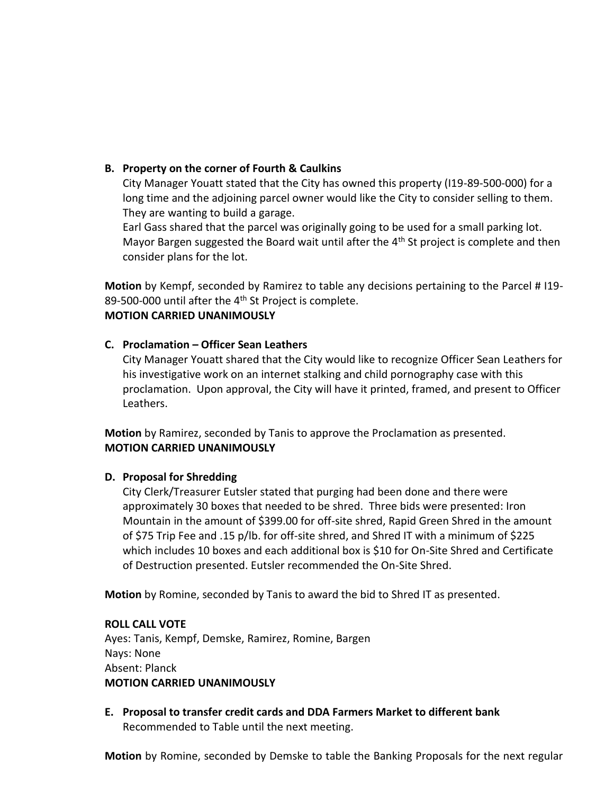# **B. Property on the corner of Fourth & Caulkins**

City Manager Youatt stated that the City has owned this property (I19-89-500-000) for a long time and the adjoining parcel owner would like the City to consider selling to them. They are wanting to build a garage.

Earl Gass shared that the parcel was originally going to be used for a small parking lot. Mayor Bargen suggested the Board wait until after the  $4<sup>th</sup>$  St project is complete and then consider plans for the lot.

**Motion** by Kempf, seconded by Ramirez to table any decisions pertaining to the Parcel # I19- 89-500-000 until after the 4<sup>th</sup> St Project is complete.

# **MOTION CARRIED UNANIMOUSLY**

## **C. Proclamation – Officer Sean Leathers**

City Manager Youatt shared that the City would like to recognize Officer Sean Leathers for his investigative work on an internet stalking and child pornography case with this proclamation. Upon approval, the City will have it printed, framed, and present to Officer Leathers.

**Motion** by Ramirez, seconded by Tanis to approve the Proclamation as presented. **MOTION CARRIED UNANIMOUSLY**

# **D. Proposal for Shredding**

City Clerk/Treasurer Eutsler stated that purging had been done and there were approximately 30 boxes that needed to be shred. Three bids were presented: Iron Mountain in the amount of \$399.00 for off-site shred, Rapid Green Shred in the amount of \$75 Trip Fee and .15 p/lb. for off-site shred, and Shred IT with a minimum of \$225 which includes 10 boxes and each additional box is \$10 for On-Site Shred and Certificate of Destruction presented. Eutsler recommended the On-Site Shred.

**Motion** by Romine, seconded by Tanis to award the bid to Shred IT as presented.

## **ROLL CALL VOTE**

Ayes: Tanis, Kempf, Demske, Ramirez, Romine, Bargen Nays: None Absent: Planck **MOTION CARRIED UNANIMOUSLY**

**E. Proposal to transfer credit cards and DDA Farmers Market to different bank** Recommended to Table until the next meeting.

**Motion** by Romine, seconded by Demske to table the Banking Proposals for the next regular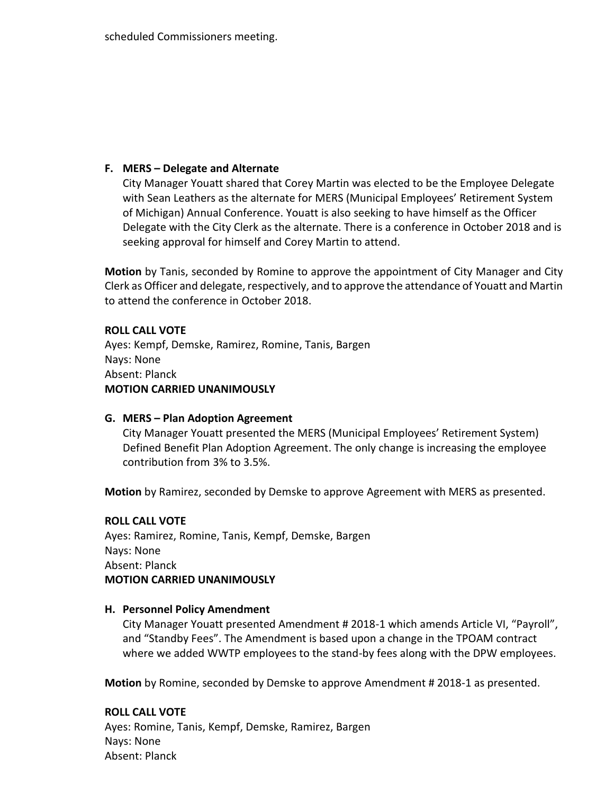## **F. MERS – Delegate and Alternate**

City Manager Youatt shared that Corey Martin was elected to be the Employee Delegate with Sean Leathers as the alternate for MERS (Municipal Employees' Retirement System of Michigan) Annual Conference. Youatt is also seeking to have himself as the Officer Delegate with the City Clerk as the alternate. There is a conference in October 2018 and is seeking approval for himself and Corey Martin to attend.

**Motion** by Tanis, seconded by Romine to approve the appointment of City Manager and City Clerk as Officer and delegate, respectively, and to approve the attendance of Youatt and Martin to attend the conference in October 2018.

## **ROLL CALL VOTE**

Ayes: Kempf, Demske, Ramirez, Romine, Tanis, Bargen Nays: None Absent: Planck **MOTION CARRIED UNANIMOUSLY**

## **G. MERS – Plan Adoption Agreement**

City Manager Youatt presented the MERS (Municipal Employees' Retirement System) Defined Benefit Plan Adoption Agreement. The only change is increasing the employee contribution from 3% to 3.5%.

**Motion** by Ramirez, seconded by Demske to approve Agreement with MERS as presented.

### **ROLL CALL VOTE**

Ayes: Ramirez, Romine, Tanis, Kempf, Demske, Bargen Nays: None Absent: Planck **MOTION CARRIED UNANIMOUSLY**

### **H. Personnel Policy Amendment**

City Manager Youatt presented Amendment # 2018-1 which amends Article VI, "Payroll", and "Standby Fees". The Amendment is based upon a change in the TPOAM contract where we added WWTP employees to the stand-by fees along with the DPW employees.

**Motion** by Romine, seconded by Demske to approve Amendment # 2018-1 as presented.

### **ROLL CALL VOTE**

Ayes: Romine, Tanis, Kempf, Demske, Ramirez, Bargen Nays: None Absent: Planck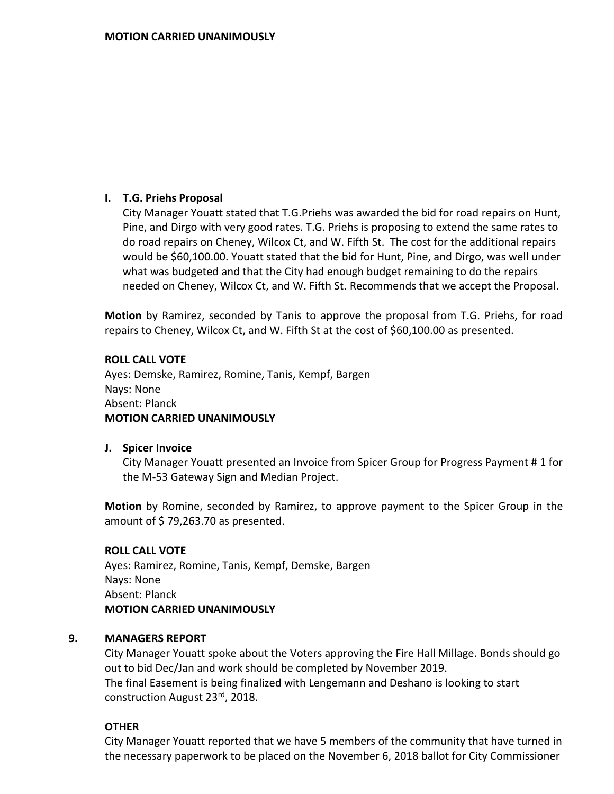# **I. T.G. Priehs Proposal**

City Manager Youatt stated that T.G.Priehs was awarded the bid for road repairs on Hunt, Pine, and Dirgo with very good rates. T.G. Priehs is proposing to extend the same rates to do road repairs on Cheney, Wilcox Ct, and W. Fifth St. The cost for the additional repairs would be \$60,100.00. Youatt stated that the bid for Hunt, Pine, and Dirgo, was well under what was budgeted and that the City had enough budget remaining to do the repairs needed on Cheney, Wilcox Ct, and W. Fifth St. Recommends that we accept the Proposal.

**Motion** by Ramirez, seconded by Tanis to approve the proposal from T.G. Priehs, for road repairs to Cheney, Wilcox Ct, and W. Fifth St at the cost of \$60,100.00 as presented.

## **ROLL CALL VOTE**

Ayes: Demske, Ramirez, Romine, Tanis, Kempf, Bargen Nays: None Absent: Planck **MOTION CARRIED UNANIMOUSLY**

## **J. Spicer Invoice**

City Manager Youatt presented an Invoice from Spicer Group for Progress Payment # 1 for the M-53 Gateway Sign and Median Project.

**Motion** by Romine, seconded by Ramirez, to approve payment to the Spicer Group in the amount of \$79,263.70 as presented.

## **ROLL CALL VOTE**

Ayes: Ramirez, Romine, Tanis, Kempf, Demske, Bargen Nays: None Absent: Planck **MOTION CARRIED UNANIMOUSLY**

## **9. MANAGERS REPORT**

City Manager Youatt spoke about the Voters approving the Fire Hall Millage. Bonds should go out to bid Dec/Jan and work should be completed by November 2019. The final Easement is being finalized with Lengemann and Deshano is looking to start construction August 23rd, 2018.

## **OTHER**

City Manager Youatt reported that we have 5 members of the community that have turned in the necessary paperwork to be placed on the November 6, 2018 ballot for City Commissioner